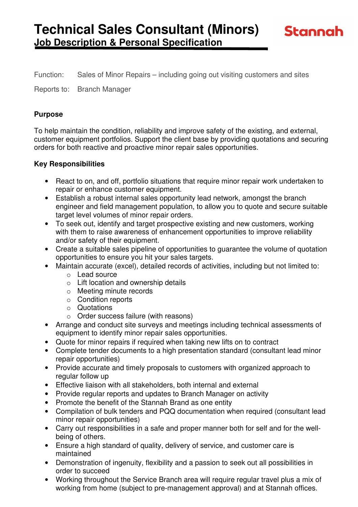Function: Sales of Minor Repairs – including going out visiting customers and sites

Reports to: Branch Manager

#### **Purpose**

To help maintain the condition, reliability and improve safety of the existing, and external, customer equipment portfolios. Support the client base by providing quotations and securing orders for both reactive and proactive minor repair sales opportunities.

#### **Key Responsibilities**

- React to on, and off, portfolio situations that require minor repair work undertaken to repair or enhance customer equipment.
- Establish a robust internal sales opportunity lead network, amongst the branch engineer and field management population, to allow you to quote and secure suitable target level volumes of minor repair orders.
- To seek out, identify and target prospective existing and new customers, working with them to raise awareness of enhancement opportunities to improve reliability and/or safety of their equipment.
- Create a suitable sales pipeline of opportunities to guarantee the volume of quotation opportunities to ensure you hit your sales targets.
- Maintain accurate (excel), detailed records of activities, including but not limited to:
	- o Lead source
	- $\circ$  Lift location and ownership details
	- o Meeting minute records
	- o Condition reports
	- o Quotations
	- o Order success failure (with reasons)
- Arrange and conduct site surveys and meetings including technical assessments of equipment to identify minor repair sales opportunities.
- Quote for minor repairs if required when taking new lifts on to contract
- Complete tender documents to a high presentation standard (consultant lead minor repair opportunities)
- Provide accurate and timely proposals to customers with organized approach to regular follow up
- Effective liaison with all stakeholders, both internal and external
- Provide regular reports and updates to Branch Manager on activity
- Promote the benefit of the Stannah Brand as one entity
- Compilation of bulk tenders and PQQ documentation when required (consultant lead minor repair opportunities)
- Carry out responsibilities in a safe and proper manner both for self and for the wellbeing of others.
- Ensure a high standard of quality, delivery of service, and customer care is maintained
- Demonstration of ingenuity, flexibility and a passion to seek out all possibilities in order to succeed
- Working throughout the Service Branch area will require regular travel plus a mix of working from home (subject to pre-management approval) and at Stannah offices.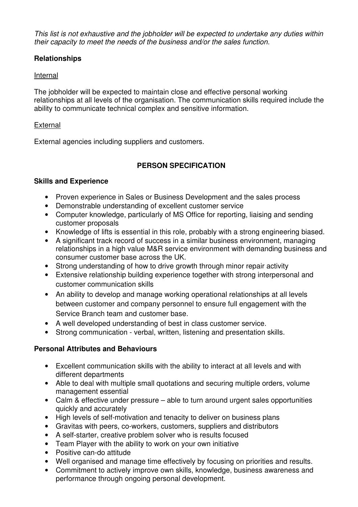This list is not exhaustive and the jobholder will be expected to undertake any duties within their capacity to meet the needs of the business and/or the sales function.

# **Relationships**

## Internal

The jobholder will be expected to maintain close and effective personal working relationships at all levels of the organisation. The communication skills required include the ability to communicate technical complex and sensitive information.

## **External**

External agencies including suppliers and customers.

# **PERSON SPECIFICATION**

## **Skills and Experience**

- Proven experience in Sales or Business Development and the sales process
- Demonstrable understanding of excellent customer service
- Computer knowledge, particularly of MS Office for reporting, liaising and sending customer proposals
- Knowledge of lifts is essential in this role, probably with a strong engineering biased.
- A significant track record of success in a similar business environment, managing relationships in a high value M&R service environment with demanding business and consumer customer base across the UK.
- Strong understanding of how to drive growth through minor repair activity
- Extensive relationship building experience together with strong interpersonal and customer communication skills
- An ability to develop and manage working operational relationships at all levels between customer and company personnel to ensure full engagement with the Service Branch team and customer base.
- A well developed understanding of best in class customer service.
- Strong communication verbal, written, listening and presentation skills.

## **Personal Attributes and Behaviours**

- Excellent communication skills with the ability to interact at all levels and with different departments
- Able to deal with multiple small quotations and securing multiple orders, volume management essential
- Calm & effective under pressure able to turn around urgent sales opportunities quickly and accurately
- High levels of self-motivation and tenacity to deliver on business plans
- Gravitas with peers, co-workers, customers, suppliers and distributors
- A self-starter, creative problem solver who is results focused
- Team Player with the ability to work on your own initiative
- Positive can-do attitude
- Well organised and manage time effectively by focusing on priorities and results.
- Commitment to actively improve own skills, knowledge, business awareness and performance through ongoing personal development.